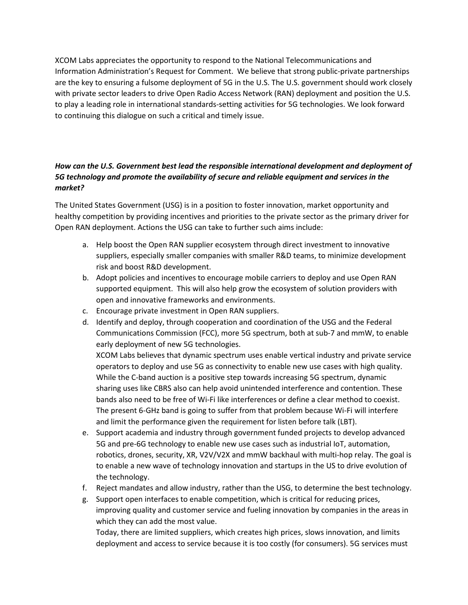XCOM Labs appreciates the opportunity to respond to the National Telecommunications and Information Administration's Request for Comment. We believe that strong public-private partnerships are the key to ensuring a fulsome deployment of 5G in the U.S. The U.S. government should work closely with private sector leaders to drive Open Radio Access Network (RAN) deployment and position the U.S. to play a leading role in international standards-setting activities for 5G technologies. We look forward to continuing this dialogue on such a critical and timely issue.

# *How can the U.S. Government best lead the responsible international development and deployment of 5G technology and promote the availability of secure and reliable equipment and services in the market?*

The United States Government (USG) is in a position to foster innovation, market opportunity and healthy competition by providing incentives and priorities to the private sector as the primary driver for Open RAN deployment. Actions the USG can take to further such aims include:

- a. Help boost the Open RAN supplier ecosystem through direct investment to innovative suppliers, especially smaller companies with smaller R&D teams, to minimize development risk and boost R&D development.
- b. Adopt policies and incentives to encourage mobile carriers to deploy and use Open RAN supported equipment. This will also help grow the ecosystem of solution providers with open and innovative frameworks and environments.
- c. Encourage private investment in Open RAN suppliers.
- d. Identify and deploy, through cooperation and coordination of the USG and the Federal Communications Commission (FCC), more 5G spectrum, both at sub-7 and mmW, to enable early deployment of new 5G technologies.

XCOM Labs believes that dynamic spectrum uses enable vertical industry and private service operators to deploy and use 5G as connectivity to enable new use cases with high quality. While the C-band auction is a positive step towards increasing 5G spectrum, dynamic sharing uses like CBRS also can help avoid unintended interference and contention. These bands also need to be free of Wi-Fi like interferences or define a clear method to coexist. The present 6-GHz band is going to suffer from that problem because Wi-Fi will interfere and limit the performance given the requirement for listen before talk (LBT).

- e. Support academia and industry through government funded projects to develop advanced 5G and pre-6G technology to enable new use cases such as industrial IoT, automation, robotics, drones, security, XR, V2V/V2X and mmW backhaul with multi-hop relay. The goal is to enable a new wave of technology innovation and startups in the US to drive evolution of the technology.
- f. Reject mandates and allow industry, rather than the USG, to determine the best technology.
- g. Support open interfaces to enable competition, which is critical for reducing prices, improving quality and customer service and fueling innovation by companies in the areas in which they can add the most value.

Today, there are limited suppliers, which creates high prices, slows innovation, and limits deployment and access to service because it is too costly (for consumers). 5G services must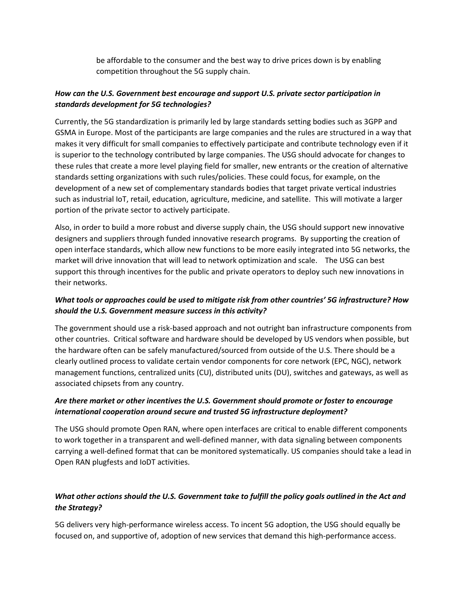be affordable to the consumer and the best way to drive prices down is by enabling competition throughout the 5G supply chain.

#### *How can the U.S. Government best encourage and support U.S. private sector participation in standards development for 5G technologies?*

Currently, the 5G standardization is primarily led by large standards setting bodies such as 3GPP and GSMA in Europe. Most of the participants are large companies and the rules are structured in a way that makes it very difficult for small companies to effectively participate and contribute technology even if it is superior to the technology contributed by large companies. The USG should advocate for changes to these rules that create a more level playing field for smaller, new entrants or the creation of alternative standards setting organizations with such rules/policies. These could focus, for example, on the development of a new set of complementary standards bodies that target private vertical industries such as industrial IoT, retail, education, agriculture, medicine, and satellite. This will motivate a larger portion of the private sector to actively participate.

Also, in order to build a more robust and diverse supply chain, the USG should support new innovative designers and suppliers through funded innovative research programs. By supporting the creation of open interface standards, which allow new functions to be more easily integrated into 5G networks, the market will drive innovation that will lead to network optimization and scale. The USG can best support this through incentives for the public and private operators to deploy such new innovations in their networks.

### *What tools or approaches could be used to mitigate risk from other countries' 5G infrastructure? How should the U.S. Government measure success in this activity?*

The government should use a risk-based approach and not outright ban infrastructure components from other countries. Critical software and hardware should be developed by US vendors when possible, but the hardware often can be safely manufactured/sourced from outside of the U.S. There should be a clearly outlined process to validate certain vendor components for core network (EPC, NGC), network management functions, centralized units (CU), distributed units (DU), switches and gateways, as well as associated chipsets from any country.

### *Are there market or other incentives the U.S. Government should promote or foster to encourage international cooperation around secure and trusted 5G infrastructure deployment?*

The USG should promote Open RAN, where open interfaces are critical to enable different components to work together in a transparent and well-defined manner, with data signaling between components carrying a well-defined format that can be monitored systematically. US companies should take a lead in Open RAN plugfests and IoDT activities.

# *What other actions should the U.S. Government take to fulfill the policy goals outlined in the Act and the Strategy?*

5G delivers very high-performance wireless access. To incent 5G adoption, the USG should equally be focused on, and supportive of, adoption of new services that demand this high-performance access.